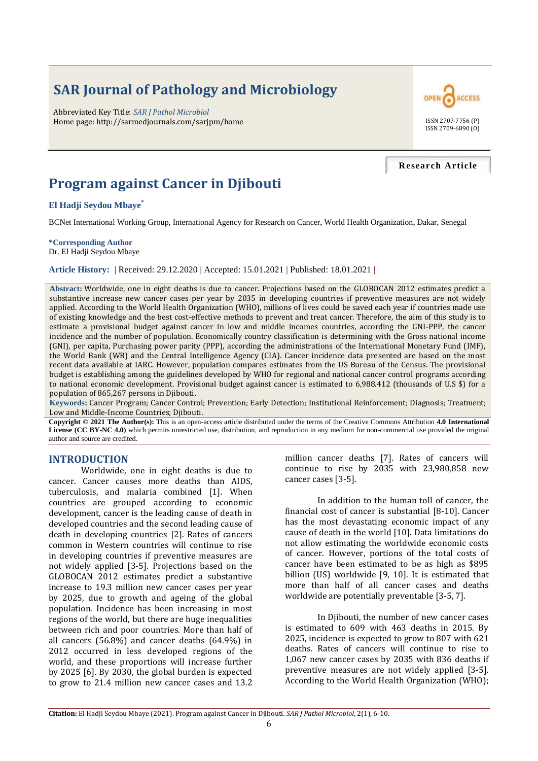# **SAR Journal of Pathology and Microbiology**

Abbreviated Key Title: *SAR J Pathol Microbiol* Home page: http://sarmedjournals.com/sarjpm/home ISSN 2707-7756 (P)



#### **Research Article**

## **Program against Cancer in Djibouti**

**El Hadji Seydou Mbaye\***

BCNet International Working Group, International Agency for Research on Cancer, World Health Organization, Dakar, Senegal

**\*Corresponding Author** Dr. El Hadji Seydou Mbaye

**Article History: |** Received: 29.12.2020 **|** Accepted: 15.01.2021 **|** Published: 18.01.2021 **|**

**Abstract:** Worldwide, one in eight deaths is due to cancer. Projections based on the GLOBOCAN 2012 estimates predict a substantive increase new cancer cases per year by 2035 in developing countries if preventive measures are not widely applied. According to the World Health Organization (WHO), millions of lives could be saved each year if countries made use of existing knowledge and the best cost-effective methods to prevent and treat cancer. Therefore, the aim of this study is to estimate a provisional budget against cancer in low and middle incomes countries, according the GNI-PPP, the cancer incidence and the number of population. Economically country classification is determining with the Gross national income (GNI), per capita, Purchasing power parity (PPP), according the administrations of the International Monetary Fund (IMF), the World Bank (WB) and the Central Intelligence Agency (CIA). Cancer incidence data presented are based on the most recent data available at IARC. However, population compares estimates from the US Bureau of the Census. The provisional budget is establishing among the guidelines developed by WHO for regional and national cancer control programs according to national economic development. Provisional budget against cancer is estimated to 6,988.412 (thousands of U.S \$) for a population of 865,267 persons in Djibouti.

**Keywords:** Cancer Program; Cancer Control; Prevention; Early Detection; Institutional Reinforcement; Diagnosis; Treatment; Low and Middle-Income Countries; Djibouti.

**Copyright © 2021 The Author(s):** This is an open-access article distributed under the terms of the Creative Commons Attribution **4.0 International License (CC BY-NC 4.0)** which permits unrestricted use, distribution, and reproduction in any medium for non-commercial use provided the original author and source are credited.

#### **INTRODUCTION**

Worldwide, one in eight deaths is due to cancer. Cancer causes more deaths than AIDS, tuberculosis, and malaria combined [1]. When countries are grouped according to economic development, cancer is the leading cause of death in developed countries and the second leading cause of death in developing countries [2]. Rates of cancers common in Western countries will continue to rise in developing countries if preventive measures are not widely applied [3-5]. Projections based on the GLOBOCAN 2012 estimates predict a substantive increase to 19.3 million new cancer cases per year by 2025, due to growth and ageing of the global population. Incidence has been increasing in most regions of the world, but there are huge inequalities between rich and poor countries. More than half of all cancers (56.8%) and cancer deaths (64.9%) in 2012 occurred in less developed regions of the world, and these proportions will increase further by 2025 [6]. By 2030, the global burden is expected to grow to 21.4 million new cancer cases and 13.2

million cancer deaths [7]. Rates of cancers will continue to rise by 2035 with 23,980,858 new cancer cases [3-5].

In addition to the human toll of cancer, the financial cost of cancer is substantial [8-10]. Cancer has the most devastating economic impact of any cause of death in the world [10]. Data limitations do not allow estimating the worldwide economic costs of cancer. However, portions of the total costs of cancer have been estimated to be as high as \$895 billion (US) worldwide [9, 10]. It is estimated that more than half of all cancer cases and deaths worldwide are potentially preventable [3-5, 7].

In Djibouti, the number of new cancer cases is estimated to 609 with 463 deaths in 2015. By 2025, incidence is expected to grow to 807 with 621 deaths. Rates of cancers will continue to rise to 1,067 new cancer cases by 2035 with 836 deaths if preventive measures are not widely applied [3-5]. According to the World Health Organization (WHO);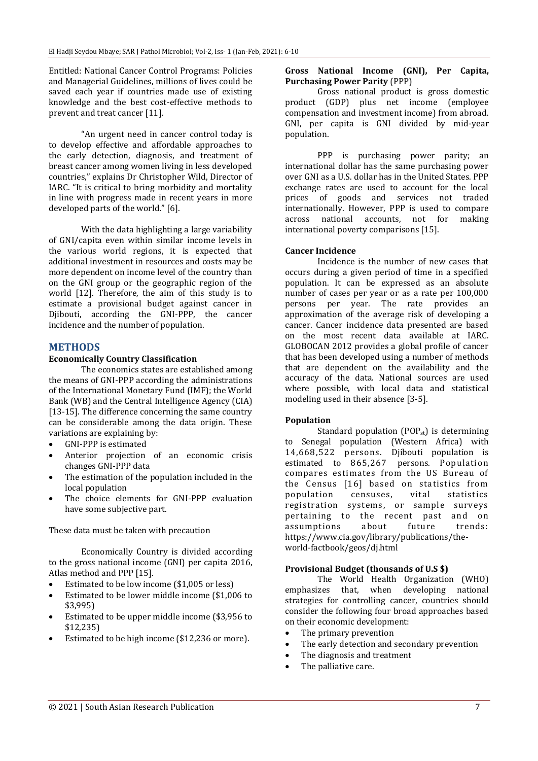Entitled: National Cancer Control Programs: Policies and Managerial Guidelines, millions of lives could be saved each year if countries made use of existing knowledge and the best cost-effective methods to prevent and treat cancer [11].

"An urgent need in cancer control today is to develop effective and affordable approaches to the early detection, diagnosis, and treatment of breast cancer among women living in less developed countries," explains Dr Christopher Wild, Director of IARC. "It is critical to bring morbidity and mortality in line with progress made in recent years in more developed parts of the world." [6].

With the data highlighting a large variability of GNI/capita even within similar income levels in the various world regions, it is expected that additional investment in resources and costs may be more dependent on income level of the country than on the GNI group or the geographic region of the world [12]. Therefore, the aim of this study is to estimate a provisional budget against cancer in Diibouti, according the GNI-PPP, the cancer incidence and the number of population.

### **METHODS**

#### **Economically Country Classification**

The economics states are established among the means of GNI-PPP according the administrations of the International Monetary Fund (IMF); the World Bank (WB) and the Central Intelligence Agency (CIA) [13-15]. The difference concerning the same country can be considerable among the data origin. These variations are explaining by:

- GNI-PPP is estimated
- Anterior projection of an economic crisis changes GNI-PPP data
- The estimation of the population included in the local population
- The choice elements for GNI-PPP evaluation have some subjective part.

These data must be taken with precaution

Economically Country is divided according to the gross national income (GNI) per capita 2016, Atlas method and PPP [15].

- Estimated to be low income (\$1,005 or less)
- Estimated to be lower middle income (\$1,006 to \$3,995)
- Estimated to be upper middle income (\$3,956 to \$12,235)
- Estimated to be high income (\$12,236 or more).

#### **Gross National Income (GNI), Per Capita, Purchasing Power Parity** (PPP)

Gross national product is gross domestic product (GDP) plus net income (employee compensation and investment income) from abroad. GNI, per capita is GNI divided by mid-year population.

PPP is purchasing power parity; an international dollar has the same purchasing power over GNI as a U.S. dollar has in the United States. PPP exchange rates are used to account for the local prices of goods and services not traded internationally. However, PPP is used to compare across national accounts, not for making international poverty comparisons [15].

#### **Cancer Incidence**

Incidence is the number of new cases that occurs during a given period of time in a specified population. It can be expressed as an absolute number of cases per year or as a rate per 100,000 persons per year. The rate provides an approximation of the average risk of developing a cancer. Cancer incidence data presented are based on the most recent data available at IARC. GLOBOCAN 2012 provides a global profile of cancer that has been developed using a number of methods that are dependent on the availability and the accuracy of the data. National sources are used where possible, with local data and statistical modeling used in their absence [3-5].

#### **Population**

Standard population  $(POP_{st})$  is determining to Senegal population (Western Africa) with 14,668,522 persons. Djibouti population is estimated to 865,267 persons. Population compares estimates from the US Bureau of the Census [16] based on statistics from population censuses, vital statistics registration systems, or sample surveys pertaining to the recent past and on assumptions about future trends: https://www.cia.gov/library/publications/theworld-factbook/geos/dj.html

#### **Provisional Budget (thousands of U.S \$)**

The World Health Organization (WHO) emphasizes that, when developing national strategies for controlling cancer, countries should consider the following four broad approaches based on their economic development:

- The primary prevention
- The early detection and secondary prevention
- The diagnosis and treatment
- The palliative care.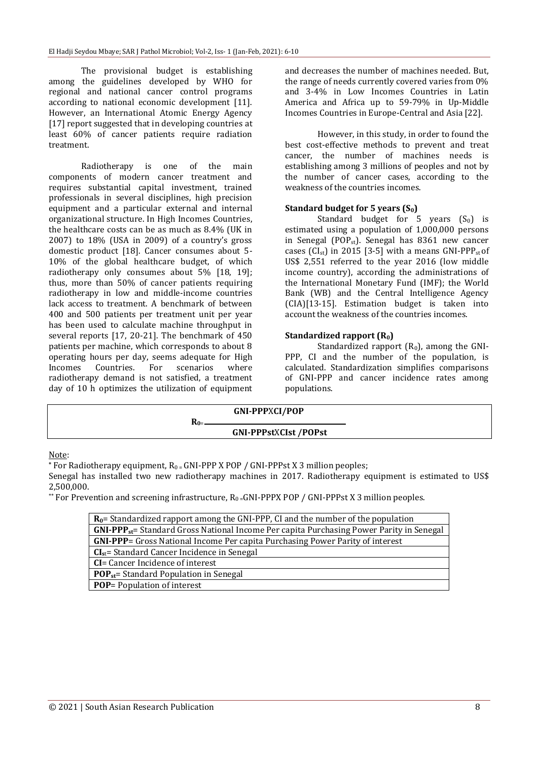The provisional budget is establishing among the guidelines developed by WHO for regional and national cancer control programs according to national economic development [11]. However, an International Atomic Energy Agency [17] report suggested that in developing countries at least 60% of cancer patients require radiation treatment.

Radiotherapy is one of the main components of modern cancer treatment and requires substantial capital investment, trained professionals in several disciplines, high precision equipment and a particular external and internal organizational structure. In High Incomes Countries, the healthcare costs can be as much as 8.4% (UK in 2007) to 18% (USA in 2009) of a country's gross domestic product [18]. Cancer consumes about 5- 10% of the global healthcare budget, of which radiotherapy only consumes about 5% [18, 19]; thus, more than 50% of cancer patients requiring radiotherapy in low and middle-income countries lack access to treatment. A benchmark of between 400 and 500 patients per treatment unit per year has been used to calculate machine throughput in several reports [17, 20-21]. The benchmark of 450 patients per machine, which corresponds to about 8 operating hours per day, seems adequate for High Incomes Countries. For scenarios where radiotherapy demand is not satisfied, a treatment day of 10 h optimizes the utilization of equipment and decreases the number of machines needed. But, the range of needs currently covered varies from 0% and 3-4% in Low Incomes Countries in Latin America and Africa up to 59-79% in Up-Middle Incomes Countries in Europe-Central and Asia [22].

However, in this study, in order to found the best cost-effective methods to prevent and treat cancer, the number of machines needs is establishing among 3 millions of peoples and not by the number of cancer cases, according to the weakness of the countries incomes.

#### **Standard budget for 5 years (S0)**

Standard budget for 5 years  $(S_0)$  is estimated using a population of 1,000,000 persons in Senegal (POPst). Senegal has 8361 new cancer cases ( $CI_{st}$ ) in 2015 [3-5] with a means GNI-PPP<sub>st</sub> of US\$ 2,551 referred to the year 2016 (low middle income country), according the administrations of the International Monetary Fund (IMF); the World Bank (WB) and the Central Intelligence Agency (CIA)[13-15]. Estimation budget is taken into account the weakness of the countries incomes.

#### **Standardized rapport (R0)**

Standardized rapport  $(R_0)$ , among the GNI-PPP, CI and the number of the population, is calculated. Standardization simplifies comparisons of GNI-PPP and cancer incidence rates among populations.

| <b>GNI-PPPXCI/POP</b>        |  |
|------------------------------|--|
| <b>GNI-PPPstXCIst /POPst</b> |  |

#### Note:

**\*** For Radiotherapy equipment, R0 = GNI-PPP X POP / GNI-PPPst X 3 million peoples;

Senegal has installed two new radiotherapy machines in 2017. Radiotherapy equipment is estimated to US\$ 2,500,000.

\*\* For Prevention and screening infrastructure,  $R_0$  = GNI-PPPX POP / GNI-PPPst X 3 million peoples.

| $R_0$ = Standardized rapport among the GNI-PPP, CI and the number of the population         |  |  |  |  |
|---------------------------------------------------------------------------------------------|--|--|--|--|
| $GNI-PPP_{st}$ Standard Gross National Income Per capita Purchasing Power Parity in Senegal |  |  |  |  |
| <b>GNI-PPP=</b> Gross National Income Per capita Purchasing Power Parity of interest        |  |  |  |  |
| $CIst$ = Standard Cancer Incidence in Senegal                                               |  |  |  |  |
| <b>CI</b> = Cancer Incidence of interest                                                    |  |  |  |  |
| <b>POP</b> <sub>st</sub> = Standard Population in Senegal                                   |  |  |  |  |
| <b>POP</b> = Population of interest                                                         |  |  |  |  |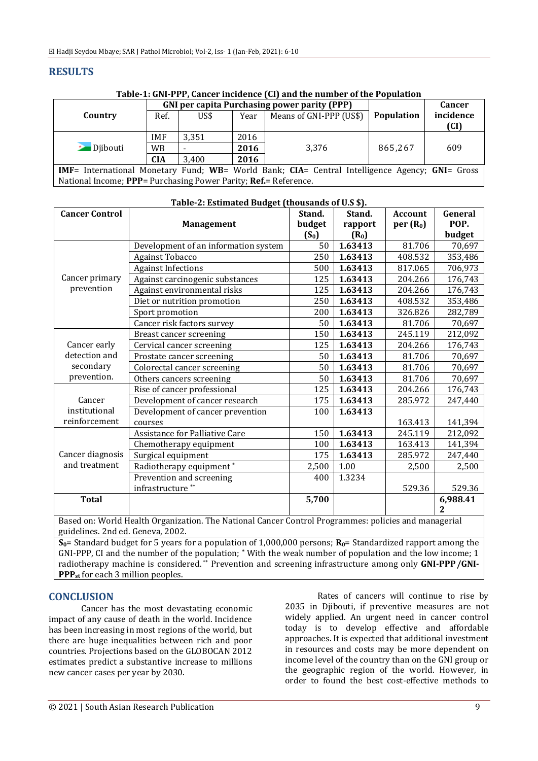## **RESULTS**

**Table-1: GNI-PPP, Cancer incidence (CI) and the number of the Population**

|                                                                                                | <b>GNI per capita Purchasing power parity (PPP)</b> |       |      |                         |            | <b>Cancer</b> |  |
|------------------------------------------------------------------------------------------------|-----------------------------------------------------|-------|------|-------------------------|------------|---------------|--|
| Country                                                                                        | Ref.                                                | US\$  | Year | Means of GNI-PPP (US\$) | Population | incidence     |  |
|                                                                                                |                                                     |       |      |                         |            | (CI)          |  |
| <b>D</b> ibouti                                                                                | <b>IMF</b>                                          | 3.351 | 2016 |                         | 865.267    |               |  |
|                                                                                                | <b>WB</b>                                           |       | 2016 | 3.376                   |            | 609           |  |
|                                                                                                | <b>CIA</b>                                          | 3.400 | 2016 |                         |            |               |  |
| IMF= International Monetary Fund; WB= World Bank; CIA= Central Intelligence Agency; GNI= Gross |                                                     |       |      |                         |            |               |  |
| National Income; PPP= Purchasing Power Parity; Ref.= Reference.                                |                                                     |       |      |                         |            |               |  |

| <b>Cancer Control</b>                                     | <b>Management</b>                    | Stand.<br>budget | Stand.<br>rapport | <b>Account</b><br>per(R <sub>0</sub> ) | General<br>POP. |
|-----------------------------------------------------------|--------------------------------------|------------------|-------------------|----------------------------------------|-----------------|
|                                                           |                                      | $(S_0)$          | $(R_0)$           |                                        | budget          |
|                                                           | Development of an information system | 50               | 1.63413           | 81.706                                 | 70,697          |
| Cancer primary<br>prevention                              | Against Tobacco                      | 250              | 1.63413           | 408.532                                | 353,486         |
|                                                           | <b>Against Infections</b>            | 500              | 1.63413           | 817.065                                | 706,973         |
|                                                           | Against carcinogenic substances      | 125              | 1.63413           | 204.266                                | 176,743         |
|                                                           | Against environmental risks          | 125              | 1.63413           | 204.266                                | 176,743         |
|                                                           | Diet or nutrition promotion          | 250              | 1.63413           | 408.532                                | 353,486         |
|                                                           | Sport promotion                      | 200              | 1.63413           | 326.826                                | 282,789         |
|                                                           | Cancer risk factors survey           | 50               | 1.63413           | 81.706                                 | 70,697          |
| Cancer early<br>detection and<br>secondary<br>prevention. | Breast cancer screening              | 150              | 1.63413           | 245.119                                | 212,092         |
|                                                           | Cervical cancer screening            | 125              | 1.63413           | 204.266                                | 176,743         |
|                                                           | Prostate cancer screening            | 50               | 1.63413           | 81.706                                 | 70,697          |
|                                                           | Colorectal cancer screening          | 50               | 1.63413           | 81.706                                 | 70,697          |
|                                                           | Others cancers screening             | 50               | 1.63413           | 81.706                                 | 70,697          |
| Cancer<br>institutional<br>reinforcement                  | Rise of cancer professional          | 125              | 1.63413           | 204.266                                | 176,743         |
|                                                           | Development of cancer research       | 175              | 1.63413           | 285.972                                | 247,440         |
|                                                           | Development of cancer prevention     | 100              | 1.63413           |                                        |                 |
|                                                           | courses                              |                  |                   | 163.413                                | 141,394         |
| Cancer diagnosis<br>and treatment                         | Assistance for Palliative Care       | 150              | 1.63413           | 245.119                                | 212,092         |
|                                                           | Chemotherapy equipment               | 100              | 1.63413           | 163.413                                | 141,394         |
|                                                           | Surgical equipment                   | 175              | 1.63413           | 285.972                                | 247,440         |
|                                                           | Radiotherapy equipment*              | 2,500            | 1.00              | 2,500                                  | 2,500           |
|                                                           | Prevention and screening             | 400              | 1.3234            |                                        |                 |
|                                                           | infrastructure**                     |                  |                   | 529.36                                 | 529.36          |
| <b>Total</b>                                              |                                      | 5,700            |                   |                                        | 6,988.41<br>2   |

#### **Table-2: Estimated Budget (thousands of U.S \$).**

Based on: World Health Organization. The National Cancer Control Programmes: policies and managerial guidelines. 2nd ed. Geneva, 2002.

**S0**= Standard budget for 5 years for a population of 1,000,000 persons; **R0**= Standardized rapport among the GNI-PPP, CI and the number of the population; **\*** With the weak number of population and the low income; 1 radiotherapy machine is considered. \*\* Prevention and screening infrastructure among only **GNI-PPP/GNI-PPP**<sub>st</sub> for each 3 million peoples.

## **CONCLUSION**

Cancer has the most devastating economic impact of any cause of death in the world. Incidence has been increasing in most regions of the world, but there are huge inequalities between rich and poor countries. Projections based on the GLOBOCAN 2012 estimates predict a substantive increase to millions new cancer cases per year by 2030.

Rates of cancers will continue to rise by 2035 in Djibouti, if preventive measures are not widely applied. An urgent need in cancer control today is to develop effective and affordable approaches. It is expected that additional investment in resources and costs may be more dependent on income level of the country than on the GNI group or the geographic region of the world. However, in order to found the best cost-effective methods to